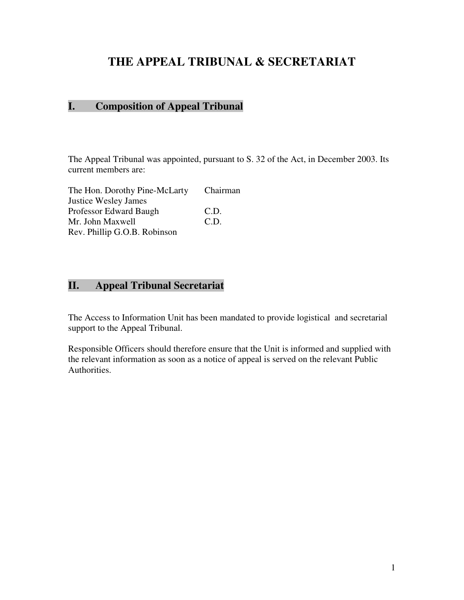## **THE APPEAL TRIBUNAL & SECRETARIAT**

## **I. Composition of Appeal Tribunal**

The Appeal Tribunal was appointed, pursuant to S. 32 of the Act, in December 2003. Its current members are:

| The Hon. Dorothy Pine-McLarty | Chairman |
|-------------------------------|----------|
| <b>Justice Wesley James</b>   |          |
| Professor Edward Baugh        | C.D.     |
| Mr. John Maxwell              | C.D.     |
| Rev. Phillip G.O.B. Robinson  |          |

## **II. Appeal Tribunal Secretariat**

The Access to Information Unit has been mandated to provide logistical and secretarial support to the Appeal Tribunal.

Responsible Officers should therefore ensure that the Unit is informed and supplied with the relevant information as soon as a notice of appeal is served on the relevant Public Authorities.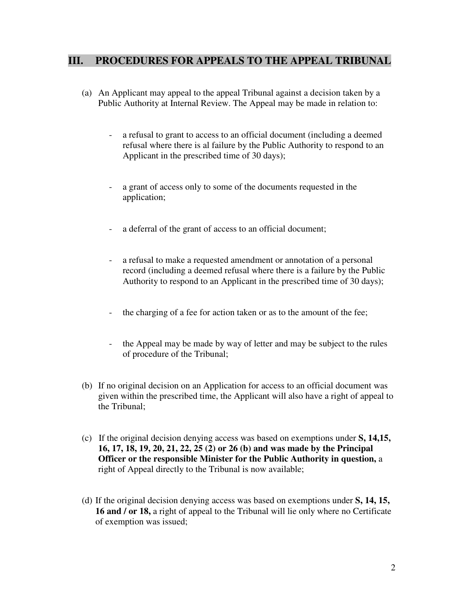## **III. PROCEDURES FOR APPEALS TO THE APPEAL TRIBUNAL**

- (a) An Applicant may appeal to the appeal Tribunal against a decision taken by a Public Authority at Internal Review. The Appeal may be made in relation to:
	- a refusal to grant to access to an official document (including a deemed refusal where there is al failure by the Public Authority to respond to an Applicant in the prescribed time of 30 days);
	- a grant of access only to some of the documents requested in the application;
	- a deferral of the grant of access to an official document;
	- a refusal to make a requested amendment or annotation of a personal record (including a deemed refusal where there is a failure by the Public Authority to respond to an Applicant in the prescribed time of 30 days);
	- the charging of a fee for action taken or as to the amount of the fee;
	- the Appeal may be made by way of letter and may be subject to the rules of procedure of the Tribunal;
- (b) If no original decision on an Application for access to an official document was given within the prescribed time, the Applicant will also have a right of appeal to the Tribunal;
- (c) If the original decision denying access was based on exemptions under **S, 14,15, 16, 17, 18, 19, 20, 21, 22, 25 (2) or 26 (b) and was made by the Principal Officer or the responsible Minister for the Public Authority in question,** a right of Appeal directly to the Tribunal is now available;
- (d) If the original decision denying access was based on exemptions under **S, 14, 15, 16 and / or 18,** a right of appeal to the Tribunal will lie only where no Certificate of exemption was issued;